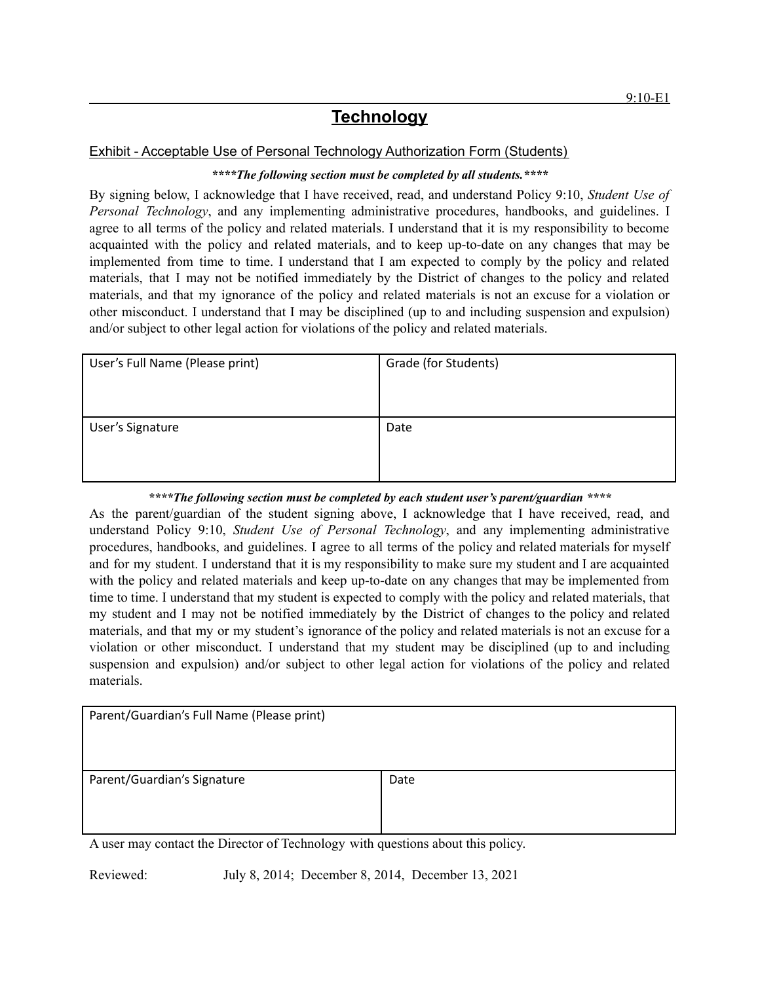## **Technology**

## Exhibit - Acceptable Use of Personal Technology Authorization Form (Students)

## *\*\*\*\*The following section must be completed by all students.\*\*\*\**

By signing below, I acknowledge that I have received, read, and understand Policy 9:10, *Student Use of Personal Technology*, and any implementing administrative procedures, handbooks, and guidelines. I agree to all terms of the policy and related materials. I understand that it is my responsibility to become acquainted with the policy and related materials, and to keep up-to-date on any changes that may be implemented from time to time. I understand that I am expected to comply by the policy and related materials, that I may not be notified immediately by the District of changes to the policy and related materials, and that my ignorance of the policy and related materials is not an excuse for a violation or other misconduct. I understand that I may be disciplined (up to and including suspension and expulsion) and/or subject to other legal action for violations of the policy and related materials.

| User's Full Name (Please print) | Grade (for Students) |
|---------------------------------|----------------------|
| User's Signature                | Date                 |

## *\*\*\*\*The following section must be completed by each student user's parent/guardian \*\*\*\**

As the parent/guardian of the student signing above, I acknowledge that I have received, read, and understand Policy 9:10, *Student Use of Personal Technology*, and any implementing administrative procedures, handbooks, and guidelines. I agree to all terms of the policy and related materials for myself and for my student. I understand that it is my responsibility to make sure my student and I are acquainted with the policy and related materials and keep up-to-date on any changes that may be implemented from time to time. I understand that my student is expected to comply with the policy and related materials, that my student and I may not be notified immediately by the District of changes to the policy and related materials, and that my or my student's ignorance of the policy and related materials is not an excuse for a violation or other misconduct. I understand that my student may be disciplined (up to and including suspension and expulsion) and/or subject to other legal action for violations of the policy and related materials.

| Parent/Guardian's Full Name (Please print)                                     |      |
|--------------------------------------------------------------------------------|------|
|                                                                                |      |
|                                                                                |      |
|                                                                                |      |
| Parent/Guardian's Signature                                                    | Date |
|                                                                                |      |
|                                                                                |      |
|                                                                                |      |
| A user may contact the Director of Technology with questions about this policy |      |

A user may contact the Director of Technology with questions about this policy.

Reviewed: July 8, 2014; December 8, 2014, December 13, 2021